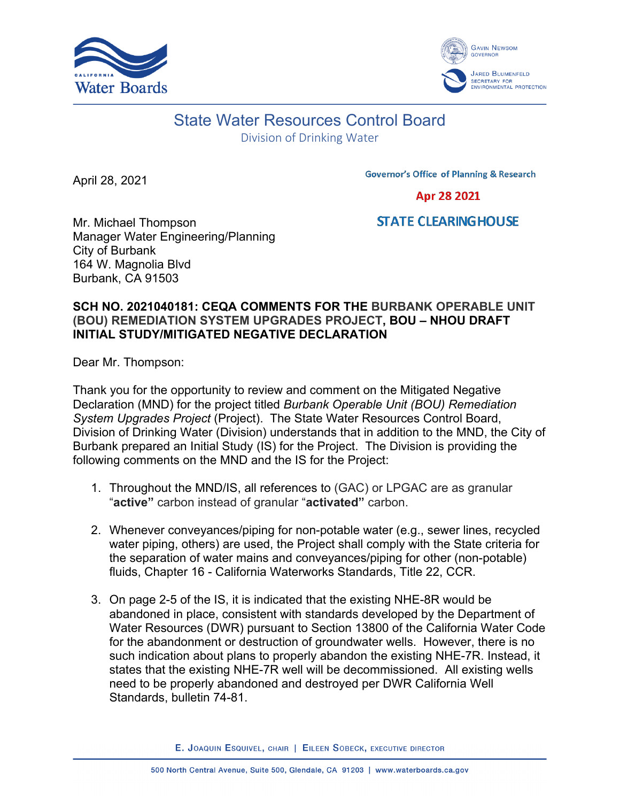



## State Water Resources Control Board

Division of Drinking Water

April 28, 2021

**Governor's Office of Planning & Research** 

Apr 28 2021

Mr. Michael Thompson Manager Water Engineering/Planning City of Burbank 164 W. Magnolia Blvd Burbank, CA 91503

## **STATE CLEARING HOUSE**

## **SCH NO. 2021040181: CEQA COMMENTS FOR THE BURBANK OPERABLE UNIT (BOU) REMEDIATION SYSTEM UPGRADES PROJECT, BOU – NHOU DRAFT INITIAL STUDY/MITIGATED NEGATIVE DECLARATION**

Dear Mr. Thompson:

Thank you for the opportunity to review and comment on the Mitigated Negative Declaration (MND) for the project titled *Burbank Operable Unit (BOU) Remediation System Upgrades Project* (Project). The State Water Resources Control Board, Division of Drinking Water (Division) understands that in addition to the MND, the City of Burbank prepared an Initial Study (IS) for the Project. The Division is providing the following comments on the MND and the IS for the Project:

- 1. Throughout the MND/IS, all references to (GAC) or LPGAC are as granular "**active"** carbon instead of granular "**activated"** carbon.
- 2. Whenever conveyances/piping for non-potable water (e.g., sewer lines, recycled water piping, others) are used, the Project shall comply with the State criteria for the separation of water mains and conveyances/piping for other (non-potable) fluids, Chapter 16 - California Waterworks Standards, Title 22, CCR.
- 3. On page 2-5 of the IS, it is indicated that the existing NHE-8R would be abandoned in place, consistent with standards developed by the Department of Water Resources (DWR) pursuant to Section 13800 of the California Water Code for the abandonment or destruction of groundwater wells. However, there is no such indication about plans to properly abandon the existing NHE-7R. Instead, it states that the existing NHE-7R well will be decommissioned. All existing wells need to be properly abandoned and destroyed per DWR California Well Standards, bulletin 74-81.

E. JOAQUIN ESQUIVEL, CHAIR | EILEEN SOBECK, EXECUTIVE DIRECTOR